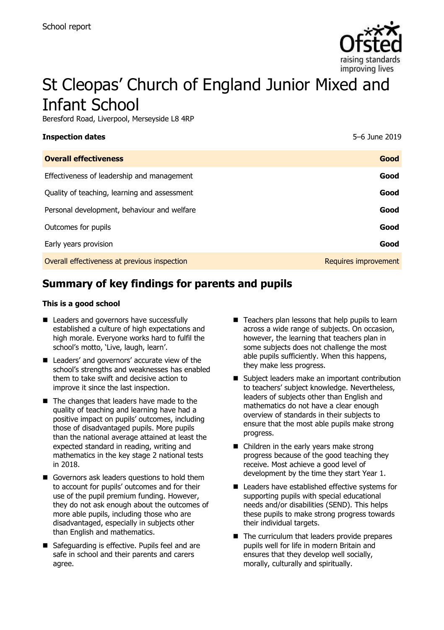

# St Cleopas' Church of England Junior Mixed and Infant School

Beresford Road, Liverpool, Merseyside L8 4RP

| <b>Inspection dates</b>                      | 5-6 June 2019        |
|----------------------------------------------|----------------------|
| <b>Overall effectiveness</b>                 | Good                 |
| Effectiveness of leadership and management   | Good                 |
| Quality of teaching, learning and assessment | Good                 |
| Personal development, behaviour and welfare  | Good                 |
| Outcomes for pupils                          | Good                 |
| Early years provision                        | Good                 |
| Overall effectiveness at previous inspection | Requires improvement |

# **Summary of key findings for parents and pupils**

#### **This is a good school**

- Leaders and governors have successfully established a culture of high expectations and high morale. Everyone works hard to fulfil the school's motto, 'Live, laugh, learn'.
- Leaders' and governors' accurate view of the school's strengths and weaknesses has enabled them to take swift and decisive action to improve it since the last inspection.
- The changes that leaders have made to the quality of teaching and learning have had a positive impact on pupils' outcomes, including those of disadvantaged pupils. More pupils than the national average attained at least the expected standard in reading, writing and mathematics in the key stage 2 national tests in 2018.
- Governors ask leaders questions to hold them to account for pupils' outcomes and for their use of the pupil premium funding. However, they do not ask enough about the outcomes of more able pupils, including those who are disadvantaged, especially in subjects other than English and mathematics.
- Safeguarding is effective. Pupils feel and are safe in school and their parents and carers agree.
- $\blacksquare$  Teachers plan lessons that help pupils to learn across a wide range of subjects. On occasion, however, the learning that teachers plan in some subjects does not challenge the most able pupils sufficiently. When this happens, they make less progress.
- Subject leaders make an important contribution to teachers' subject knowledge. Nevertheless, leaders of subjects other than English and mathematics do not have a clear enough overview of standards in their subjects to ensure that the most able pupils make strong progress.
- Children in the early years make strong progress because of the good teaching they receive. Most achieve a good level of development by the time they start Year 1.
- Leaders have established effective systems for supporting pupils with special educational needs and/or disabilities (SEND). This helps these pupils to make strong progress towards their individual targets.
- $\blacksquare$  The curriculum that leaders provide prepares pupils well for life in modern Britain and ensures that they develop well socially, morally, culturally and spiritually.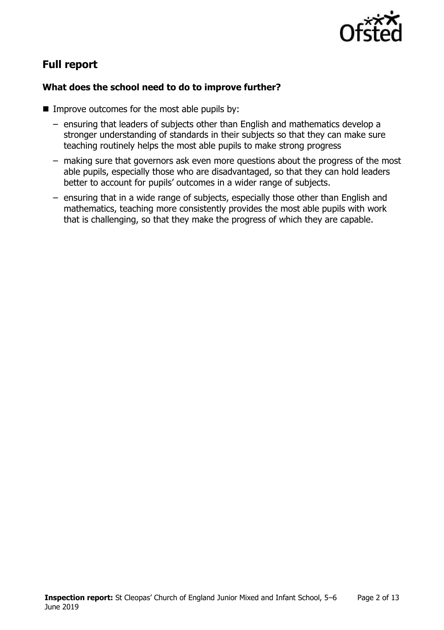

# **Full report**

#### **What does the school need to do to improve further?**

- $\blacksquare$  Improve outcomes for the most able pupils by:
	- ensuring that leaders of subjects other than English and mathematics develop a stronger understanding of standards in their subjects so that they can make sure teaching routinely helps the most able pupils to make strong progress
	- making sure that governors ask even more questions about the progress of the most able pupils, especially those who are disadvantaged, so that they can hold leaders better to account for pupils' outcomes in a wider range of subjects.
	- ensuring that in a wide range of subjects, especially those other than English and mathematics, teaching more consistently provides the most able pupils with work that is challenging, so that they make the progress of which they are capable.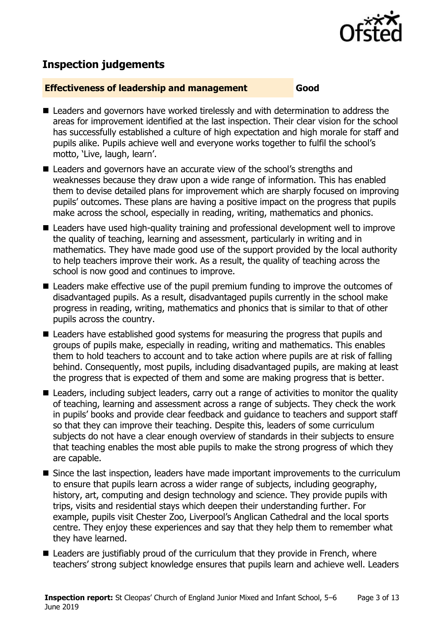

## **Inspection judgements**

#### **Effectiveness of leadership and management Good**

- Leaders and governors have worked tirelessly and with determination to address the areas for improvement identified at the last inspection. Their clear vision for the school has successfully established a culture of high expectation and high morale for staff and pupils alike. Pupils achieve well and everyone works together to fulfil the school's motto, 'Live, laugh, learn'.
- Leaders and governors have an accurate view of the school's strengths and weaknesses because they draw upon a wide range of information. This has enabled them to devise detailed plans for improvement which are sharply focused on improving pupils' outcomes. These plans are having a positive impact on the progress that pupils make across the school, especially in reading, writing, mathematics and phonics.
- Leaders have used high-quality training and professional development well to improve the quality of teaching, learning and assessment, particularly in writing and in mathematics. They have made good use of the support provided by the local authority to help teachers improve their work. As a result, the quality of teaching across the school is now good and continues to improve.
- Leaders make effective use of the pupil premium funding to improve the outcomes of disadvantaged pupils. As a result, disadvantaged pupils currently in the school make progress in reading, writing, mathematics and phonics that is similar to that of other pupils across the country.
- Leaders have established good systems for measuring the progress that pupils and groups of pupils make, especially in reading, writing and mathematics. This enables them to hold teachers to account and to take action where pupils are at risk of falling behind. Consequently, most pupils, including disadvantaged pupils, are making at least the progress that is expected of them and some are making progress that is better.
- Leaders, including subject leaders, carry out a range of activities to monitor the quality of teaching, learning and assessment across a range of subjects. They check the work in pupils' books and provide clear feedback and guidance to teachers and support staff so that they can improve their teaching. Despite this, leaders of some curriculum subjects do not have a clear enough overview of standards in their subjects to ensure that teaching enables the most able pupils to make the strong progress of which they are capable.
- Since the last inspection, leaders have made important improvements to the curriculum to ensure that pupils learn across a wider range of subjects, including geography, history, art, computing and design technology and science. They provide pupils with trips, visits and residential stays which deepen their understanding further. For example, pupils visit Chester Zoo, Liverpool's Anglican Cathedral and the local sports centre. They enjoy these experiences and say that they help them to remember what they have learned.
- Leaders are justifiably proud of the curriculum that they provide in French, where teachers' strong subject knowledge ensures that pupils learn and achieve well. Leaders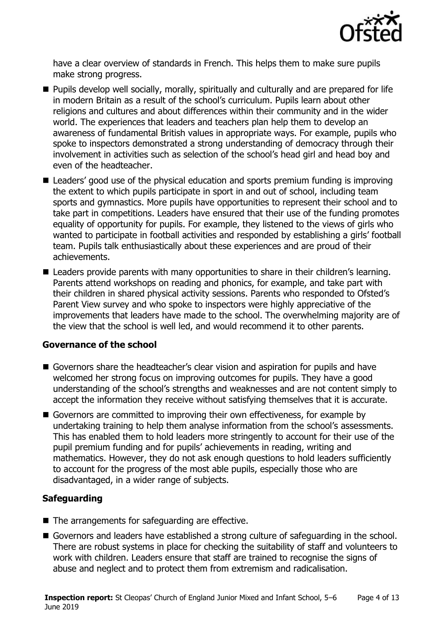

have a clear overview of standards in French. This helps them to make sure pupils make strong progress.

- **Pupils develop well socially, morally, spiritually and culturally and are prepared for life** in modern Britain as a result of the school's curriculum. Pupils learn about other religions and cultures and about differences within their community and in the wider world. The experiences that leaders and teachers plan help them to develop an awareness of fundamental British values in appropriate ways. For example, pupils who spoke to inspectors demonstrated a strong understanding of democracy through their involvement in activities such as selection of the school's head girl and head boy and even of the headteacher.
- Leaders' good use of the physical education and sports premium funding is improving the extent to which pupils participate in sport in and out of school, including team sports and gymnastics. More pupils have opportunities to represent their school and to take part in competitions. Leaders have ensured that their use of the funding promotes equality of opportunity for pupils. For example, they listened to the views of girls who wanted to participate in football activities and responded by establishing a girls' football team. Pupils talk enthusiastically about these experiences and are proud of their achievements.
- Leaders provide parents with many opportunities to share in their children's learning. Parents attend workshops on reading and phonics, for example, and take part with their children in shared physical activity sessions. Parents who responded to Ofsted's Parent View survey and who spoke to inspectors were highly appreciative of the improvements that leaders have made to the school. The overwhelming majority are of the view that the school is well led, and would recommend it to other parents.

#### **Governance of the school**

- Governors share the headteacher's clear vision and aspiration for pupils and have welcomed her strong focus on improving outcomes for pupils. They have a good understanding of the school's strengths and weaknesses and are not content simply to accept the information they receive without satisfying themselves that it is accurate.
- Governors are committed to improving their own effectiveness, for example by undertaking training to help them analyse information from the school's assessments. This has enabled them to hold leaders more stringently to account for their use of the pupil premium funding and for pupils' achievements in reading, writing and mathematics. However, they do not ask enough questions to hold leaders sufficiently to account for the progress of the most able pupils, especially those who are disadvantaged, in a wider range of subjects.

### **Safeguarding**

- $\blacksquare$  The arrangements for safeguarding are effective.
- Governors and leaders have established a strong culture of safeguarding in the school. There are robust systems in place for checking the suitability of staff and volunteers to work with children. Leaders ensure that staff are trained to recognise the signs of abuse and neglect and to protect them from extremism and radicalisation.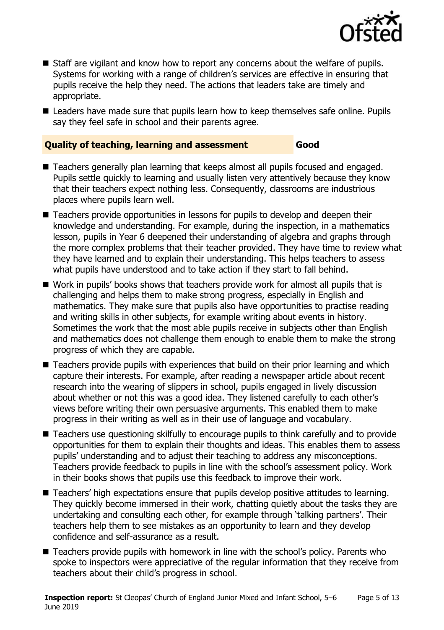

- Staff are vigilant and know how to report any concerns about the welfare of pupils. Systems for working with a range of children's services are effective in ensuring that pupils receive the help they need. The actions that leaders take are timely and appropriate.
- Leaders have made sure that pupils learn how to keep themselves safe online. Pupils say they feel safe in school and their parents agree.

#### **Quality of teaching, learning and assessment Good**

- Teachers generally plan learning that keeps almost all pupils focused and engaged. Pupils settle quickly to learning and usually listen very attentively because they know that their teachers expect nothing less. Consequently, classrooms are industrious places where pupils learn well.
- Teachers provide opportunities in lessons for pupils to develop and deepen their knowledge and understanding. For example, during the inspection, in a mathematics lesson, pupils in Year 6 deepened their understanding of algebra and graphs through the more complex problems that their teacher provided. They have time to review what they have learned and to explain their understanding. This helps teachers to assess what pupils have understood and to take action if they start to fall behind.
- Work in pupils' books shows that teachers provide work for almost all pupils that is challenging and helps them to make strong progress, especially in English and mathematics. They make sure that pupils also have opportunities to practise reading and writing skills in other subjects, for example writing about events in history. Sometimes the work that the most able pupils receive in subjects other than English and mathematics does not challenge them enough to enable them to make the strong progress of which they are capable.
- Teachers provide pupils with experiences that build on their prior learning and which capture their interests. For example, after reading a newspaper article about recent research into the wearing of slippers in school, pupils engaged in lively discussion about whether or not this was a good idea. They listened carefully to each other's views before writing their own persuasive arguments. This enabled them to make progress in their writing as well as in their use of language and vocabulary.
- Teachers use questioning skilfully to encourage pupils to think carefully and to provide opportunities for them to explain their thoughts and ideas. This enables them to assess pupils' understanding and to adjust their teaching to address any misconceptions. Teachers provide feedback to pupils in line with the school's assessment policy. Work in their books shows that pupils use this feedback to improve their work.
- Teachers' high expectations ensure that pupils develop positive attitudes to learning. They quickly become immersed in their work, chatting quietly about the tasks they are undertaking and consulting each other, for example through 'talking partners'. Their teachers help them to see mistakes as an opportunity to learn and they develop confidence and self-assurance as a result.
- Teachers provide pupils with homework in line with the school's policy. Parents who spoke to inspectors were appreciative of the regular information that they receive from teachers about their child's progress in school.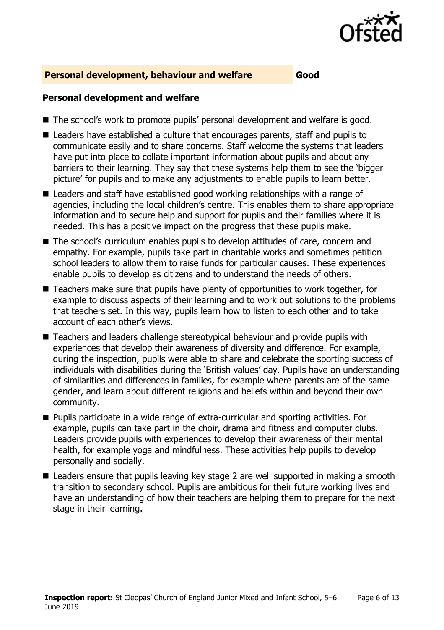

#### **Personal development, behaviour and welfare Good**

#### **Personal development and welfare**

- The school's work to promote pupils' personal development and welfare is good.
- Leaders have established a culture that encourages parents, staff and pupils to communicate easily and to share concerns. Staff welcome the systems that leaders have put into place to collate important information about pupils and about any barriers to their learning. They say that these systems help them to see the 'bigger picture' for pupils and to make any adjustments to enable pupils to learn better.
- Leaders and staff have established good working relationships with a range of agencies, including the local children's centre. This enables them to share appropriate information and to secure help and support for pupils and their families where it is needed. This has a positive impact on the progress that these pupils make.
- The school's curriculum enables pupils to develop attitudes of care, concern and empathy. For example, pupils take part in charitable works and sometimes petition school leaders to allow them to raise funds for particular causes. These experiences enable pupils to develop as citizens and to understand the needs of others.
- Teachers make sure that pupils have plenty of opportunities to work together, for example to discuss aspects of their learning and to work out solutions to the problems that teachers set. In this way, pupils learn how to listen to each other and to take account of each other's views.
- Teachers and leaders challenge stereotypical behaviour and provide pupils with experiences that develop their awareness of diversity and difference. For example, during the inspection, pupils were able to share and celebrate the sporting success of individuals with disabilities during the 'British values' day. Pupils have an understanding of similarities and differences in families, for example where parents are of the same gender, and learn about different religions and beliefs within and beyond their own community.
- Pupils participate in a wide range of extra-curricular and sporting activities. For example, pupils can take part in the choir, drama and fitness and computer clubs. Leaders provide pupils with experiences to develop their awareness of their mental health, for example yoga and mindfulness. These activities help pupils to develop personally and socially.
- Leaders ensure that pupils leaving key stage 2 are well supported in making a smooth transition to secondary school. Pupils are ambitious for their future working lives and have an understanding of how their teachers are helping them to prepare for the next stage in their learning.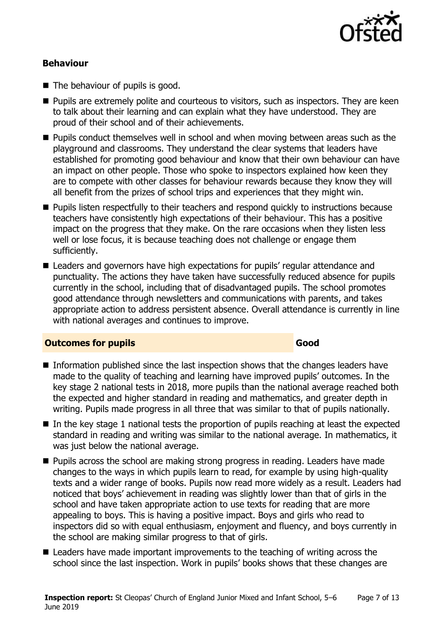

#### **Behaviour**

- $\blacksquare$  The behaviour of pupils is good.
- **Pupils are extremely polite and courteous to visitors, such as inspectors. They are keen** to talk about their learning and can explain what they have understood. They are proud of their school and of their achievements.
- **Pupils conduct themselves well in school and when moving between areas such as the** playground and classrooms. They understand the clear systems that leaders have established for promoting good behaviour and know that their own behaviour can have an impact on other people. Those who spoke to inspectors explained how keen they are to compete with other classes for behaviour rewards because they know they will all benefit from the prizes of school trips and experiences that they might win.
- **Pupils listen respectfully to their teachers and respond quickly to instructions because** teachers have consistently high expectations of their behaviour. This has a positive impact on the progress that they make. On the rare occasions when they listen less well or lose focus, it is because teaching does not challenge or engage them sufficiently.
- Leaders and governors have high expectations for pupils' regular attendance and punctuality. The actions they have taken have successfully reduced absence for pupils currently in the school, including that of disadvantaged pupils. The school promotes good attendance through newsletters and communications with parents, and takes appropriate action to address persistent absence. Overall attendance is currently in line with national averages and continues to improve.

#### **Outcomes for pupils Good**

- Information published since the last inspection shows that the changes leaders have made to the quality of teaching and learning have improved pupils' outcomes. In the key stage 2 national tests in 2018, more pupils than the national average reached both the expected and higher standard in reading and mathematics, and greater depth in writing. Pupils made progress in all three that was similar to that of pupils nationally.
- $\blacksquare$  In the key stage 1 national tests the proportion of pupils reaching at least the expected standard in reading and writing was similar to the national average. In mathematics, it was just below the national average.
- **Pupils across the school are making strong progress in reading. Leaders have made** changes to the ways in which pupils learn to read, for example by using high-quality texts and a wider range of books. Pupils now read more widely as a result. Leaders had noticed that boys' achievement in reading was slightly lower than that of girls in the school and have taken appropriate action to use texts for reading that are more appealing to boys. This is having a positive impact. Boys and girls who read to inspectors did so with equal enthusiasm, enjoyment and fluency, and boys currently in the school are making similar progress to that of girls.
- Leaders have made important improvements to the teaching of writing across the school since the last inspection. Work in pupils' books shows that these changes are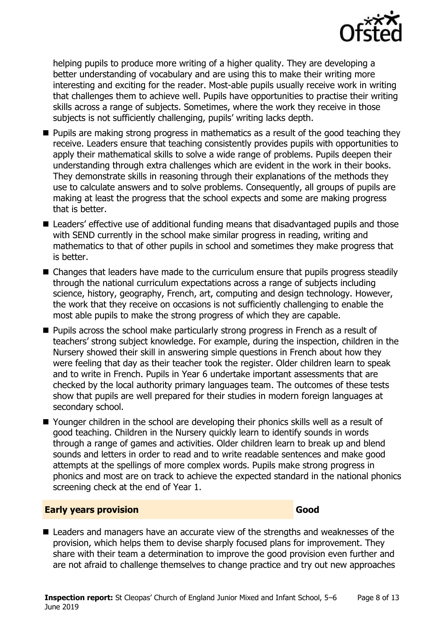

helping pupils to produce more writing of a higher quality. They are developing a better understanding of vocabulary and are using this to make their writing more interesting and exciting for the reader. Most-able pupils usually receive work in writing that challenges them to achieve well. Pupils have opportunities to practise their writing skills across a range of subjects. Sometimes, where the work they receive in those subjects is not sufficiently challenging, pupils' writing lacks depth.

- **Pupils are making strong progress in mathematics as a result of the good teaching they** receive. Leaders ensure that teaching consistently provides pupils with opportunities to apply their mathematical skills to solve a wide range of problems. Pupils deepen their understanding through extra challenges which are evident in the work in their books. They demonstrate skills in reasoning through their explanations of the methods they use to calculate answers and to solve problems. Consequently, all groups of pupils are making at least the progress that the school expects and some are making progress that is better.
- Leaders' effective use of additional funding means that disadvantaged pupils and those with SEND currently in the school make similar progress in reading, writing and mathematics to that of other pupils in school and sometimes they make progress that is better.
- Changes that leaders have made to the curriculum ensure that pupils progress steadily through the national curriculum expectations across a range of subjects including science, history, geography, French, art, computing and design technology. However, the work that they receive on occasions is not sufficiently challenging to enable the most able pupils to make the strong progress of which they are capable.
- **Pupils across the school make particularly strong progress in French as a result of** teachers' strong subject knowledge. For example, during the inspection, children in the Nursery showed their skill in answering simple questions in French about how they were feeling that day as their teacher took the register. Older children learn to speak and to write in French. Pupils in Year 6 undertake important assessments that are checked by the local authority primary languages team. The outcomes of these tests show that pupils are well prepared for their studies in modern foreign languages at secondary school.
- Younger children in the school are developing their phonics skills well as a result of good teaching. Children in the Nursery quickly learn to identify sounds in words through a range of games and activities. Older children learn to break up and blend sounds and letters in order to read and to write readable sentences and make good attempts at the spellings of more complex words. Pupils make strong progress in phonics and most are on track to achieve the expected standard in the national phonics screening check at the end of Year 1.

#### **Early years provision Good Good**

■ Leaders and managers have an accurate view of the strengths and weaknesses of the provision, which helps them to devise sharply focused plans for improvement. They share with their team a determination to improve the good provision even further and are not afraid to challenge themselves to change practice and try out new approaches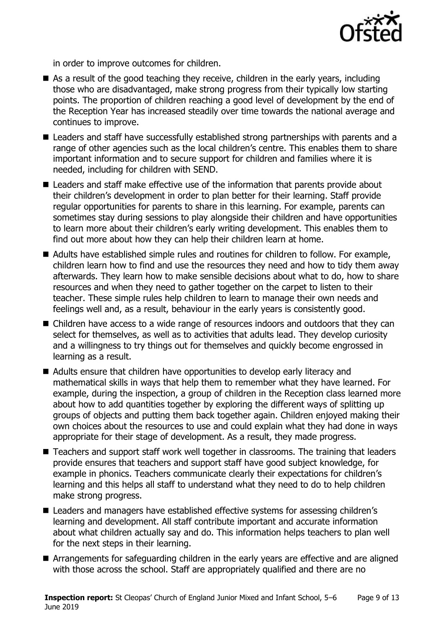

in order to improve outcomes for children.

- As a result of the good teaching they receive, children in the early years, including those who are disadvantaged, make strong progress from their typically low starting points. The proportion of children reaching a good level of development by the end of the Reception Year has increased steadily over time towards the national average and continues to improve.
- Leaders and staff have successfully established strong partnerships with parents and a range of other agencies such as the local children's centre. This enables them to share important information and to secure support for children and families where it is needed, including for children with SEND.
- Leaders and staff make effective use of the information that parents provide about their children's development in order to plan better for their learning. Staff provide regular opportunities for parents to share in this learning. For example, parents can sometimes stay during sessions to play alongside their children and have opportunities to learn more about their children's early writing development. This enables them to find out more about how they can help their children learn at home.
- Adults have established simple rules and routines for children to follow. For example, children learn how to find and use the resources they need and how to tidy them away afterwards. They learn how to make sensible decisions about what to do, how to share resources and when they need to gather together on the carpet to listen to their teacher. These simple rules help children to learn to manage their own needs and feelings well and, as a result, behaviour in the early years is consistently good.
- Children have access to a wide range of resources indoors and outdoors that they can select for themselves, as well as to activities that adults lead. They develop curiosity and a willingness to try things out for themselves and quickly become engrossed in learning as a result.
- Adults ensure that children have opportunities to develop early literacy and mathematical skills in ways that help them to remember what they have learned. For example, during the inspection, a group of children in the Reception class learned more about how to add quantities together by exploring the different ways of splitting up groups of objects and putting them back together again. Children enjoyed making their own choices about the resources to use and could explain what they had done in ways appropriate for their stage of development. As a result, they made progress.
- Teachers and support staff work well together in classrooms. The training that leaders provide ensures that teachers and support staff have good subject knowledge, for example in phonics. Teachers communicate clearly their expectations for children's learning and this helps all staff to understand what they need to do to help children make strong progress.
- Leaders and managers have established effective systems for assessing children's learning and development. All staff contribute important and accurate information about what children actually say and do. This information helps teachers to plan well for the next steps in their learning.
- **E** Arrangements for safeguarding children in the early years are effective and are aligned with those across the school. Staff are appropriately qualified and there are no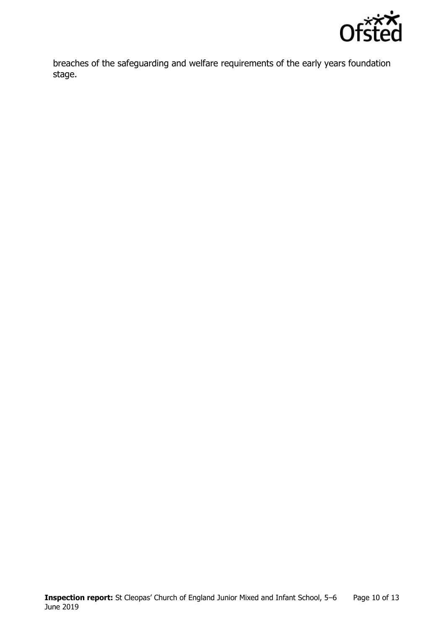

breaches of the safeguarding and welfare requirements of the early years foundation stage.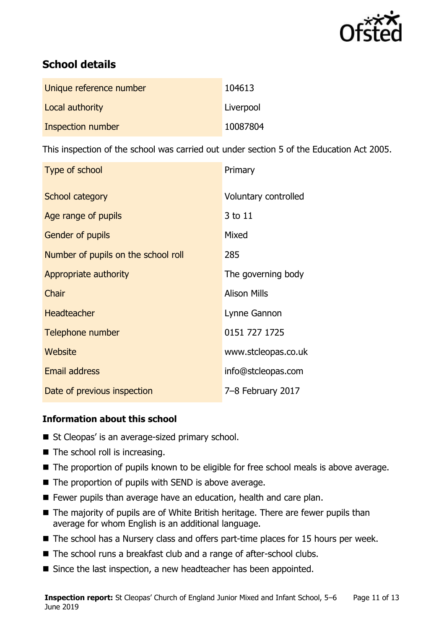

# **School details**

| Unique reference number | 104613    |
|-------------------------|-----------|
| Local authority         | Liverpool |
| Inspection number       | 10087804  |

This inspection of the school was carried out under section 5 of the Education Act 2005.

| Type of school                      | Primary              |
|-------------------------------------|----------------------|
| School category                     | Voluntary controlled |
| Age range of pupils                 | 3 to 11              |
| <b>Gender of pupils</b>             | Mixed                |
| Number of pupils on the school roll | 285                  |
| Appropriate authority               | The governing body   |
| Chair                               | <b>Alison Mills</b>  |
| <b>Headteacher</b>                  | Lynne Gannon         |
| Telephone number                    | 0151 727 1725        |
| Website                             | www.stcleopas.co.uk  |
| <b>Email address</b>                | info@stcleopas.com   |
| Date of previous inspection         | 7-8 February 2017    |

#### **Information about this school**

- St Cleopas' is an average-sized primary school.
- $\blacksquare$  The school roll is increasing.
- The proportion of pupils known to be eligible for free school meals is above average.
- The proportion of pupils with SEND is above average.
- **F** Fewer pupils than average have an education, health and care plan.
- The majority of pupils are of White British heritage. There are fewer pupils than average for whom English is an additional language.
- $\blacksquare$  The school has a Nursery class and offers part-time places for 15 hours per week.
- The school runs a breakfast club and a range of after-school clubs.
- Since the last inspection, a new headteacher has been appointed.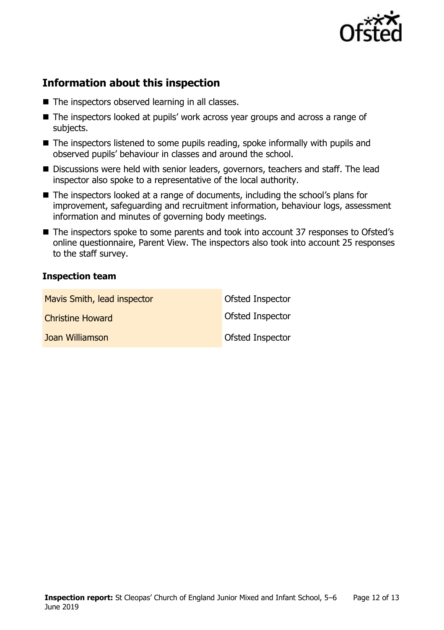

# **Information about this inspection**

- The inspectors observed learning in all classes.
- The inspectors looked at pupils' work across year groups and across a range of subjects.
- The inspectors listened to some pupils reading, spoke informally with pupils and observed pupils' behaviour in classes and around the school.
- Discussions were held with senior leaders, governors, teachers and staff. The lead inspector also spoke to a representative of the local authority.
- The inspectors looked at a range of documents, including the school's plans for improvement, safeguarding and recruitment information, behaviour logs, assessment information and minutes of governing body meetings.
- The inspectors spoke to some parents and took into account 37 responses to Ofsted's online questionnaire, Parent View. The inspectors also took into account 25 responses to the staff survey.

#### **Inspection team**

| Mavis Smith, lead inspector | Ofsted Inspector        |
|-----------------------------|-------------------------|
| <b>Christine Howard</b>     | <b>Ofsted Inspector</b> |
| Joan Williamson             | <b>Ofsted Inspector</b> |